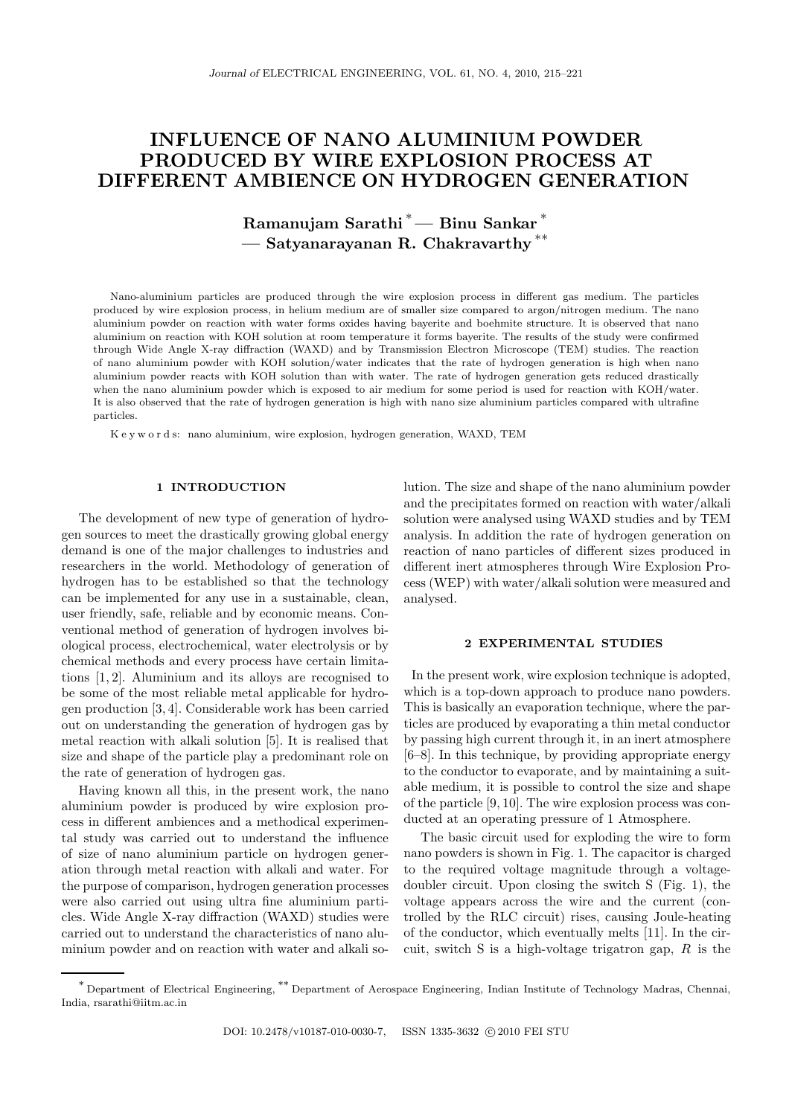# INFLUENCE OF NANO ALUMINIUM POWDER PRODUCED BY WIRE EXPLOSION PROCESS AT DIFFERENT AMBIENCE ON HYDROGEN GENERATION

# Ramanujam Sarathi<sup>\*</sup> — Binu Sankar<sup>\*</sup> — Satyanarayanan R. Chakravarthy  $^{**}$

Nano-aluminium particles are produced through the wire explosion process in different gas medium. The particles produced by wire explosion process, in helium medium are of smaller size compared to argon/nitrogen medium. The nano aluminium powder on reaction with water forms oxides having bayerite and boehmite structure. It is observed that nano aluminium on reaction with KOH solution at room temperature it forms bayerite. The results of the study were confirmed through Wide Angle X-ray diffraction (WAXD) and by Transmission Electron Microscope (TEM) studies. The reaction of nano aluminium powder with KOH solution/water indicates that the rate of hydrogen generation is high when nano aluminium powder reacts with KOH solution than with water. The rate of hydrogen generation gets reduced drastically when the nano aluminium powder which is exposed to air medium for some period is used for reaction with KOH/water. It is also observed that the rate of hydrogen generation is high with nano size aluminium particles compared with ultrafine particles.

K e y w o r d s: nano aluminium, wire explosion, hydrogen generation, WAXD, TEM

## 1 INTRODUCTION

The development of new type of generation of hydrogen sources to meet the drastically growing global energy demand is one of the major challenges to industries and researchers in the world. Methodology of generation of hydrogen has to be established so that the technology can be implemented for any use in a sustainable, clean, user friendly, safe, reliable and by economic means. Conventional method of generation of hydrogen involves biological process, electrochemical, water electrolysis or by chemical methods and every process have certain limitations [1, 2]. Aluminium and its alloys are recognised to be some of the most reliable metal applicable for hydrogen production [3, 4]. Considerable work has been carried out on understanding the generation of hydrogen gas by metal reaction with alkali solution [5]. It is realised that size and shape of the particle play a predominant role on the rate of generation of hydrogen gas.

Having known all this, in the present work, the nano aluminium powder is produced by wire explosion process in different ambiences and a methodical experimental study was carried out to understand the influence of size of nano aluminium particle on hydrogen generation through metal reaction with alkali and water. For the purpose of comparison, hydrogen generation processes were also carried out using ultra fine aluminium particles. Wide Angle X-ray diffraction (WAXD) studies were carried out to understand the characteristics of nano aluminium powder and on reaction with water and alkali solution. The size and shape of the nano aluminium powder and the precipitates formed on reaction with water/alkali solution were analysed using WAXD studies and by TEM analysis. In addition the rate of hydrogen generation on reaction of nano particles of different sizes produced in different inert atmospheres through Wire Explosion Process (WEP) with water/alkali solution were measured and analysed.

### 2 EXPERIMENTAL STUDIES

In the present work, wire explosion technique is adopted, which is a top-down approach to produce nano powders. This is basically an evaporation technique, where the particles are produced by evaporating a thin metal conductor by passing high current through it, in an inert atmosphere [6–8]. In this technique, by providing appropriate energy to the conductor to evaporate, and by maintaining a suitable medium, it is possible to control the size and shape of the particle [9, 10]. The wire explosion process was conducted at an operating pressure of 1 Atmosphere.

The basic circuit used for exploding the wire to form nano powders is shown in Fig. 1. The capacitor is charged to the required voltage magnitude through a voltagedoubler circuit. Upon closing the switch S (Fig. 1), the voltage appears across the wire and the current (controlled by the RLC circuit) rises, causing Joule-heating of the conductor, which eventually melts [11]. In the circuit, switch S is a high-voltage trigatron gap,  $R$  is the

<sup>∗</sup> Department of Electrical Engineering, ∗∗ Department of Aerospace Engineering, Indian Institute of Technology Madras, Chennai, India, rsarathi@iitm.ac.in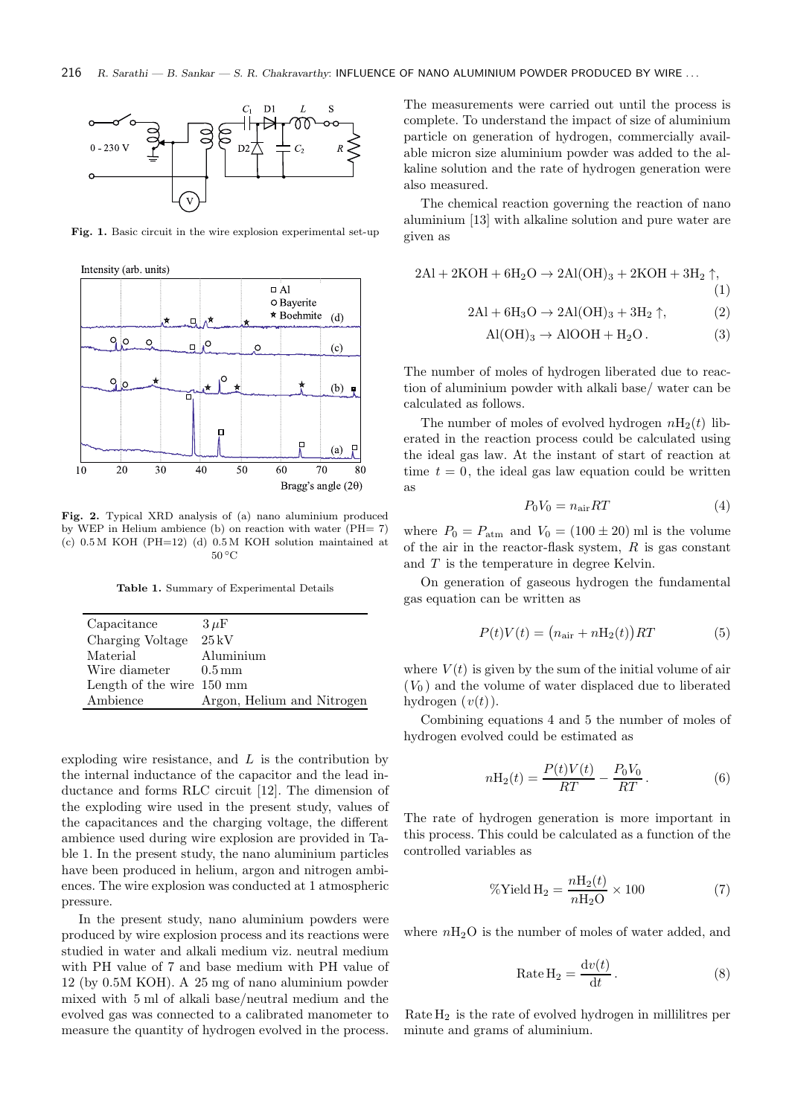

Fig. 1. Basic circuit in the wire explosion experimental set-up

Intensity (arb. units)



Fig. 2. Typical XRD analysis of (a) nano aluminium produced by WEP in Helium ambience (b) on reaction with water (PH= 7)  $(c)$  0.5 M KOH (PH=12) (d) 0.5 M KOH solution maintained at  $50^{\circ}$ C

Table 1. Summary of Experimental Details

| Capacitance                       | $3 \mu F$                  |
|-----------------------------------|----------------------------|
| Charging Voltage                  | $25\,\mathrm{kV}$          |
| Material                          | Aluminium                  |
| Wire diameter $0.5 \,\mathrm{mm}$ |                            |
| Length of the wire 150 mm         |                            |
| Ambience                          | Argon, Helium and Nitrogen |

exploding wire resistance, and  $L$  is the contribution by the internal inductance of the capacitor and the lead inductance and forms RLC circuit [12]. The dimension of the exploding wire used in the present study, values of the capacitances and the charging voltage, the different ambience used during wire explosion are provided in Table 1. In the present study, the nano aluminium particles have been produced in helium, argon and nitrogen ambiences. The wire explosion was conducted at 1 atmospheric pressure.

In the present study, nano aluminium powders were produced by wire explosion process and its reactions were studied in water and alkali medium viz. neutral medium with PH value of 7 and base medium with PH value of 12 (by 0.5M KOH). A 25 mg of nano aluminium powder mixed with 5 ml of alkali base/neutral medium and the evolved gas was connected to a calibrated manometer to measure the quantity of hydrogen evolved in the process. The measurements were carried out until the process is complete. To understand the impact of size of aluminium particle on generation of hydrogen, commercially available micron size aluminium powder was added to the alkaline solution and the rate of hydrogen generation were also measured.

The chemical reaction governing the reaction of nano aluminium [13] with alkaline solution and pure water are given as

$$
2\text{Al} + 2\text{KOH} + 6\text{H}_2\text{O} \rightarrow 2\text{Al}(\text{OH})_3 + 2\text{KOH} + 3\text{H}_2 \uparrow,
$$
<sup>(1)</sup>

$$
2\text{Al} + 6\text{H}_3\text{O} \rightarrow 2\text{Al}(\text{OH})_3 + 3\text{H}_2 \uparrow, \tag{2}
$$

$$
Al(OH)_3 \to AlOOH + H_2O. \tag{3}
$$

The number of moles of hydrogen liberated due to reaction of aluminium powder with alkali base/ water can be calculated as follows.

The number of moles of evolved hydrogen  $nH_2(t)$  liberated in the reaction process could be calculated using the ideal gas law. At the instant of start of reaction at time  $t = 0$ , the ideal gas law equation could be written as

$$
P_0 V_0 = n_{\text{air}} RT \tag{4}
$$

where  $P_0 = P_{\text{atm}}$  and  $V_0 = (100 \pm 20)$  ml is the volume of the air in the reactor-flask system,  $R$  is gas constant and T is the temperature in degree Kelvin.

On generation of gaseous hydrogen the fundamental gas equation can be written as

$$
P(t)V(t) = (n_{\text{air}} + n\text{H}_2(t))RT
$$
\n(5)

where  $V(t)$  is given by the sum of the initial volume of air  $(V_0)$  and the volume of water displaced due to liberated hydrogen  $(v(t))$ .

Combining equations 4 and 5 the number of moles of hydrogen evolved could be estimated as

$$
nH_2(t) = \frac{P(t)V(t)}{RT} - \frac{P_0V_0}{RT}.
$$
 (6)

The rate of hydrogen generation is more important in this process. This could be calculated as a function of the controlled variables as

$$
\%\text{Yield H}_2 = \frac{n\text{H}_2(t)}{n\text{H}_2\text{O}} \times 100\tag{7}
$$

where  $n_{2}O$  is the number of moles of water added, and

$$
Rate H_2 = \frac{dv(t)}{dt}.
$$
 (8)

Rate  $H_2$  is the rate of evolved hydrogen in millilitres per minute and grams of aluminium.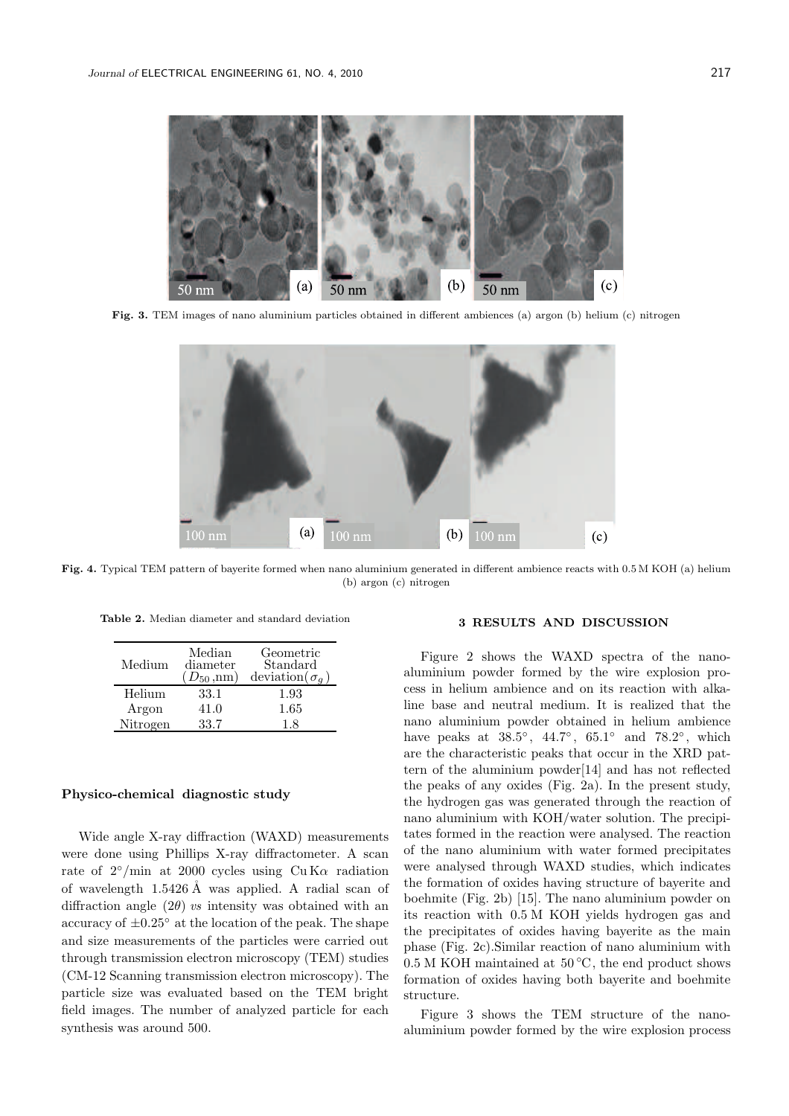

Fig. 3. TEM images of nano aluminium particles obtained in different ambiences (a) argon (b) helium (c) nitrogen



Fig. 4. Typical TEM pattern of bayerite formed when nano aluminium generated in different ambience reacts with 0.5 M KOH (a) helium (b) argon (c) nitrogen

Table 2. Median diameter and standard deviation

| Medium   | Median<br>diameter<br>$(D_{50}, \text{nm})$ | Geometric<br>Standard<br>deviation( $\sigma_a$ ) |
|----------|---------------------------------------------|--------------------------------------------------|
| Helium   | 33.1                                        | 1.93                                             |
| Argon    | 41.0                                        | 1.65                                             |
| Nitrogen | 33.7                                        | 18                                               |

### Physico-chemical diagnostic study

Wide angle X-ray diffraction (WAXD) measurements were done using Phillips X-ray diffractometer. A scan rate of  $2°/\text{min}$  at 2000 cycles using Cu K $\alpha$  radiation of wavelength  $1.5426 \text{ Å}$  was applied. A radial scan of diffraction angle  $(2\theta)$  vs intensity was obtained with an accuracy of  $\pm 0.25^{\circ}$  at the location of the peak. The shape and size measurements of the particles were carried out through transmission electron microscopy (TEM) studies (CM-12 Scanning transmission electron microscopy). The particle size was evaluated based on the TEM bright field images. The number of analyzed particle for each synthesis was around 500.

## 3 RESULTS AND DISCUSSION

Figure 2 shows the WAXD spectra of the nanoaluminium powder formed by the wire explosion process in helium ambience and on its reaction with alkaline base and neutral medium. It is realized that the nano aluminium powder obtained in helium ambience have peaks at  $38.5^{\circ}$ ,  $44.7^{\circ}$ ,  $65.1^{\circ}$  and  $78.2^{\circ}$ , which are the characteristic peaks that occur in the XRD pattern of the aluminium powder[14] and has not reflected the peaks of any oxides (Fig. 2a). In the present study, the hydrogen gas was generated through the reaction of nano aluminium with KOH/water solution. The precipitates formed in the reaction were analysed. The reaction of the nano aluminium with water formed precipitates were analysed through WAXD studies, which indicates the formation of oxides having structure of bayerite and boehmite (Fig. 2b) [15]. The nano aluminium powder on its reaction with 0.5 M KOH yields hydrogen gas and the precipitates of oxides having bayerite as the main phase (Fig. 2c).Similar reaction of nano aluminium with  $0.5$  M KOH maintained at  $50^{\circ}$ C, the end product shows formation of oxides having both bayerite and boehmite structure.

Figure 3 shows the TEM structure of the nanoaluminium powder formed by the wire explosion process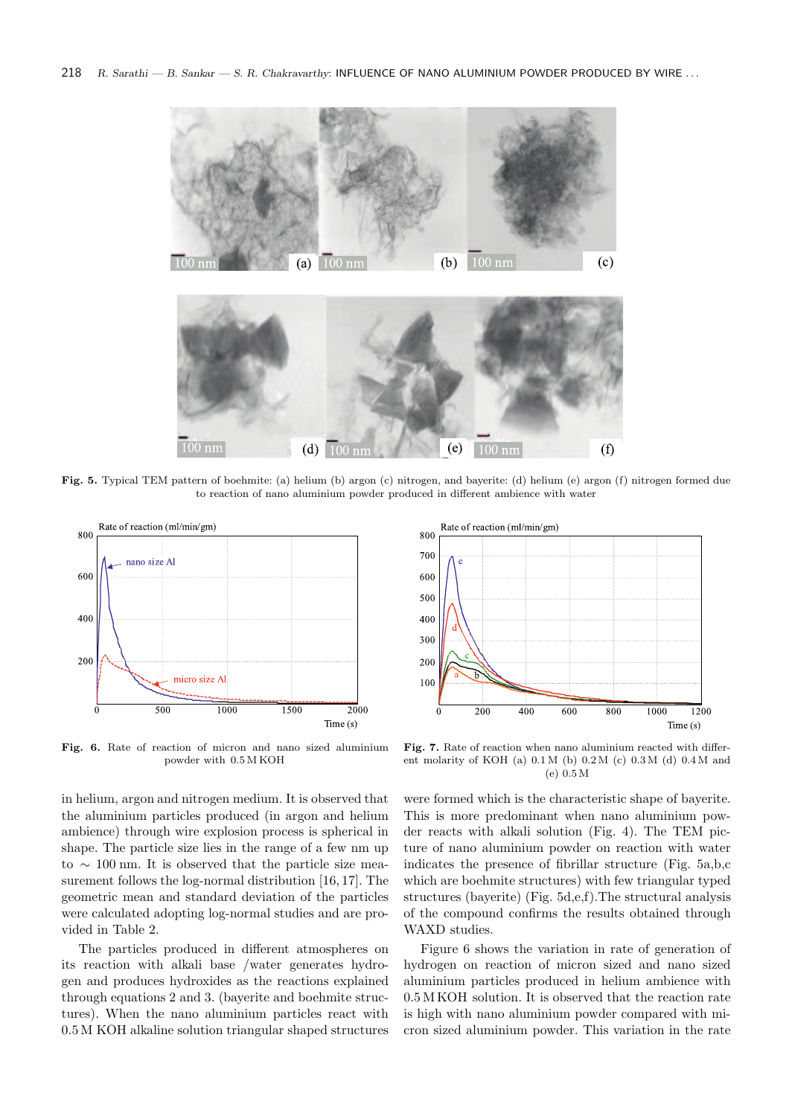

 $100 \text{ nm}$  $(d)$  $(e)$  $(f)$ 

Fig. 5. Typical TEM pattern of boehmite: (a) helium (b) argon (c) nitrogen, and bayerite: (d) helium (e) argon (f) nitrogen formed due to reaction of nano aluminium powder produced in different ambience with water



Fig. 6. Rate of reaction of micron and nano sized aluminium powder with 0.5 M KOH

in helium, argon and nitrogen medium. It is observed that the aluminium particles produced (in argon and helium ambience) through wire explosion process is spherical in shape. The particle size lies in the range of a few nm up to ∼ 100 nm. It is observed that the particle size measurement follows the log-normal distribution [16, 17]. The geometric mean and standard deviation of the particles were calculated adopting log-normal studies and are provided in Table 2.

The particles produced in different atmospheres on its reaction with alkali base /water generates hydrogen and produces hydroxides as the reactions explained through equations 2 and 3. (bayerite and boehmite structures). When the nano aluminium particles react with 0.5 M KOH alkaline solution triangular shaped structures

Rate of reaction (ml/min/gm) 800 700 600 500 400 300  $200$ 100  $\overline{200}$  $\overline{400}$ 600 800  $\overline{12}00$ 1000  $Time(s)$ 

Fig. 7. Rate of reaction when nano aluminium reacted with different molarity of KOH (a) 0.1 M (b) 0.2 M (c) 0.3 M (d) 0.4 M and (e) 0.5 M

were formed which is the characteristic shape of bayerite. This is more predominant when nano aluminium powder reacts with alkali solution (Fig. 4). The TEM picture of nano aluminium powder on reaction with water indicates the presence of fibrillar structure (Fig. 5a,b,c which are boehmite structures) with few triangular typed structures (bayerite) (Fig. 5d,e,f).The structural analysis of the compound confirms the results obtained through WAXD studies.

Figure 6 shows the variation in rate of generation of hydrogen on reaction of micron sized and nano sized aluminium particles produced in helium ambience with 0.5 M KOH solution. It is observed that the reaction rate is high with nano aluminium powder compared with micron sized aluminium powder. This variation in the rate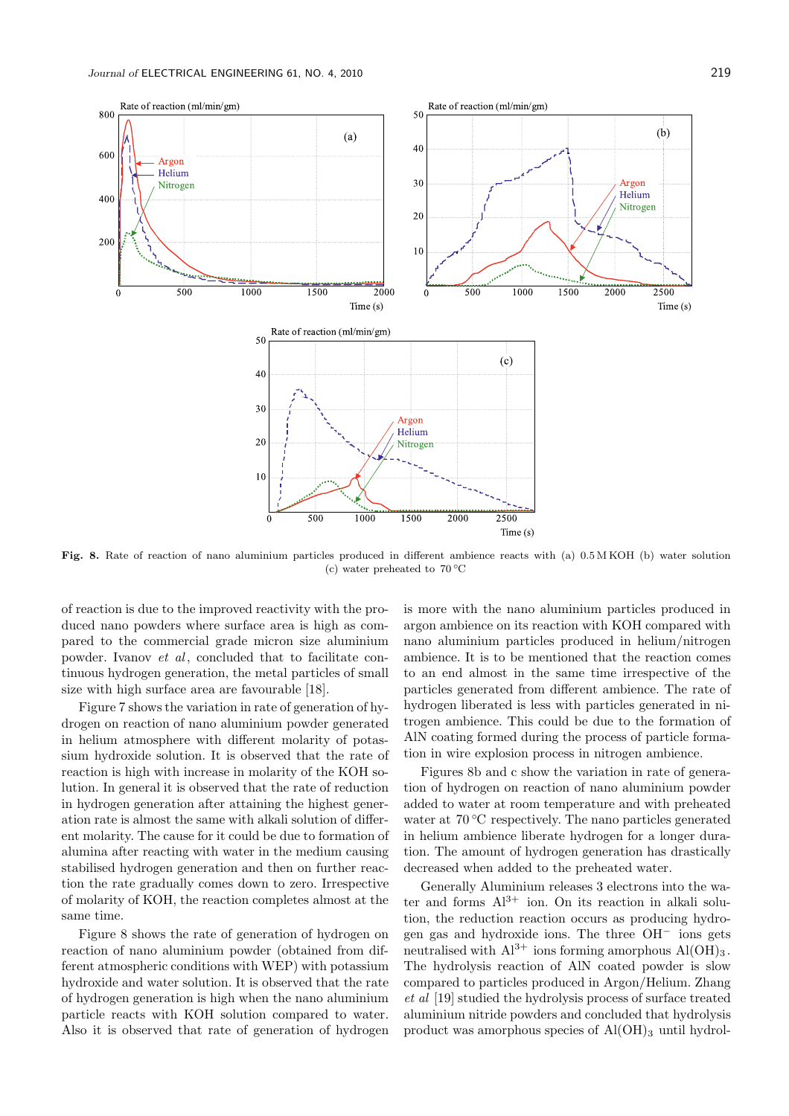

Fig. 8. Rate of reaction of nano aluminium particles produced in different ambience reacts with (a) 0.5 M KOH (b) water solution (c) water preheated to  $70^{\circ}$ C

of reaction is due to the improved reactivity with the produced nano powders where surface area is high as compared to the commercial grade micron size aluminium powder. Ivanov  $et\ al$ , concluded that to facilitate continuous hydrogen generation, the metal particles of small size with high surface area are favourable [18].

Figure 7 shows the variation in rate of generation of hydrogen on reaction of nano aluminium powder generated in helium atmosphere with different molarity of potassium hydroxide solution. It is observed that the rate of reaction is high with increase in molarity of the KOH solution. In general it is observed that the rate of reduction in hydrogen generation after attaining the highest generation rate is almost the same with alkali solution of different molarity. The cause for it could be due to formation of alumina after reacting with water in the medium causing stabilised hydrogen generation and then on further reaction the rate gradually comes down to zero. Irrespective of molarity of KOH, the reaction completes almost at the same time.

Figure 8 shows the rate of generation of hydrogen on reaction of nano aluminium powder (obtained from different atmospheric conditions with WEP) with potassium hydroxide and water solution. It is observed that the rate of hydrogen generation is high when the nano aluminium particle reacts with KOH solution compared to water. Also it is observed that rate of generation of hydrogen is more with the nano aluminium particles produced in argon ambience on its reaction with KOH compared with nano aluminium particles produced in helium/nitrogen ambience. It is to be mentioned that the reaction comes to an end almost in the same time irrespective of the particles generated from different ambience. The rate of hydrogen liberated is less with particles generated in nitrogen ambience. This could be due to the formation of AlN coating formed during the process of particle formation in wire explosion process in nitrogen ambience.

Figures 8b and c show the variation in rate of generation of hydrogen on reaction of nano aluminium powder added to water at room temperature and with preheated water at 70 °C respectively. The nano particles generated in helium ambience liberate hydrogen for a longer duration. The amount of hydrogen generation has drastically decreased when added to the preheated water.

Generally Aluminium releases 3 electrons into the water and forms  $Al^{3+}$  ion. On its reaction in alkali solution, the reduction reaction occurs as producing hydrogen gas and hydroxide ions. The three OH<sup>−</sup> ions gets neutralised with  $Al^{3+}$  ions forming amorphous  $Al(OH)_3$ . The hydrolysis reaction of AlN coated powder is slow compared to particles produced in Argon/Helium. Zhang et al [19] studied the hydrolysis process of surface treated aluminium nitride powders and concluded that hydrolysis product was amorphous species of  $Al(OH)_3$  until hydrol-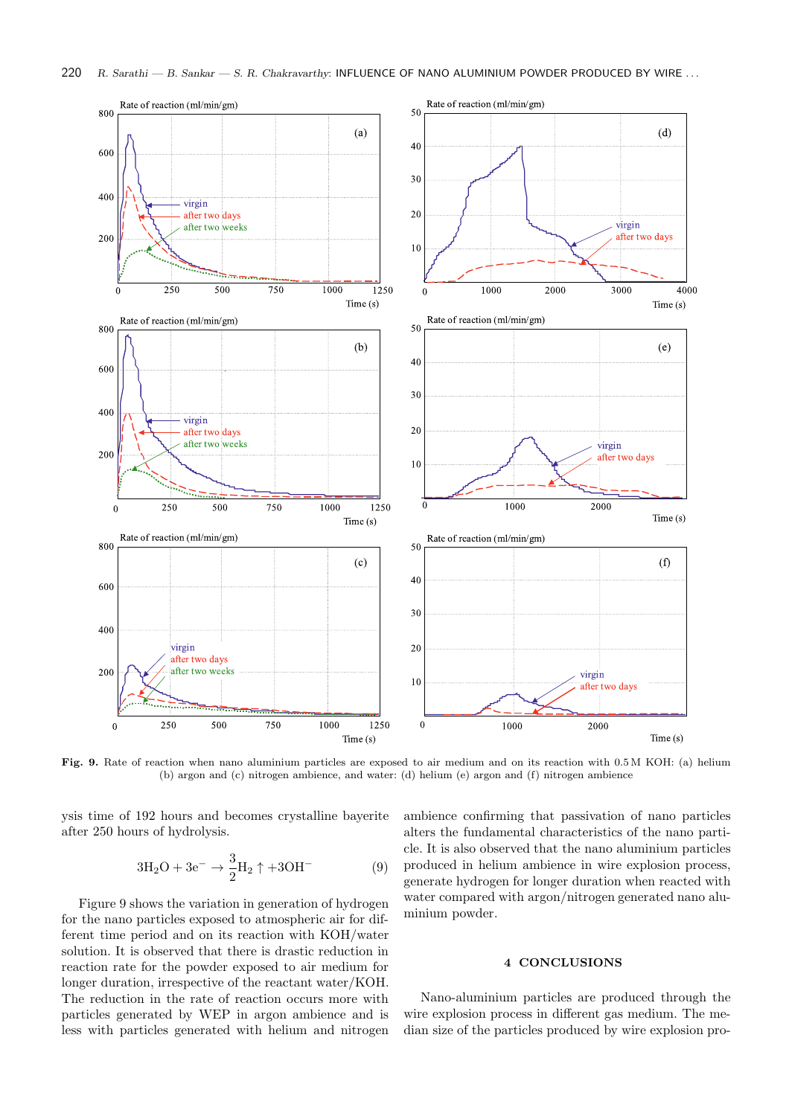

Fig. 9. Rate of reaction when nano aluminium particles are exposed to air medium and on its reaction with 0.5 M KOH: (a) helium (b) argon and (c) nitrogen ambience, and water: (d) helium (e) argon and (f) nitrogen ambience

ysis time of 192 hours and becomes crystalline bayerite after 250 hours of hydrolysis.

$$
3H_2O + 3e^- \to \frac{3}{2}H_2 \uparrow +3OH^-
$$
 (9)

Figure 9 shows the variation in generation of hydrogen for the nano particles exposed to atmospheric air for different time period and on its reaction with KOH/water solution. It is observed that there is drastic reduction in reaction rate for the powder exposed to air medium for longer duration, irrespective of the reactant water/KOH. The reduction in the rate of reaction occurs more with particles generated by WEP in argon ambience and is less with particles generated with helium and nitrogen ambience confirming that passivation of nano particles alters the fundamental characteristics of the nano particle. It is also observed that the nano aluminium particles produced in helium ambience in wire explosion process, generate hydrogen for longer duration when reacted with water compared with argon/nitrogen generated nano aluminium powder.

#### 4 CONCLUSIONS

Nano-aluminium particles are produced through the wire explosion process in different gas medium. The median size of the particles produced by wire explosion pro